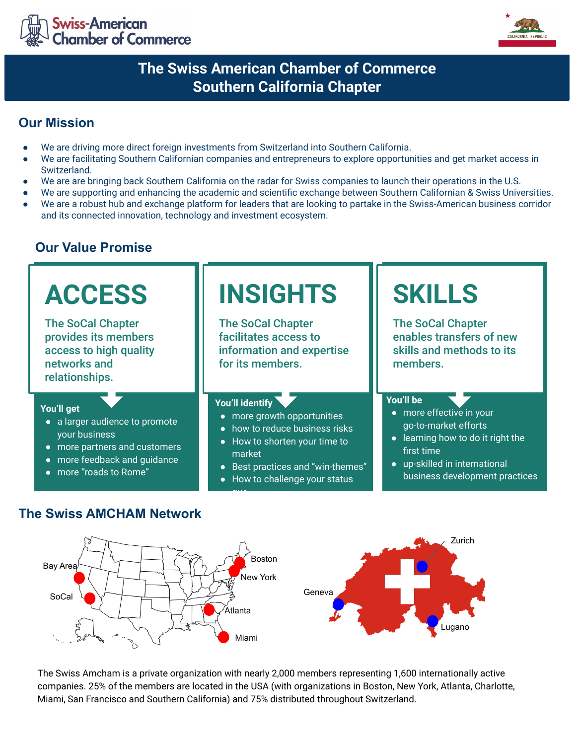



# **The Swiss American Chamber of Commerce Southern California Chapter**

## **Our Mission**

- We are driving more direct foreign investments from Switzerland into Southern California.
- We are facilitating Southern Californian companies and entrepreneurs to explore opportunities and get market access in Switzerland.
- We are are bringing back Southern California on the radar for Swiss companies to launch their operations in the U.S.
- We are supporting and enhancing the academic and scientific exchange between Southern Californian & Swiss Universities.
- We are a robust hub and exchange platform for leaders that are looking to partake in the Swiss-American business corridor and its connected innovation, technology and investment ecosystem.

## **Our Value Promise**



### **The Swiss AMCHAM Network**



The Swiss Amcham is a private organization with nearly 2,000 members representing 1,600 internationally active companies. 25% of the members are located in the USA (with organizations in Boston, New York, Atlanta, Charlotte, Miami, San Francisco and Southern California) and 75% distributed throughout Switzerland.